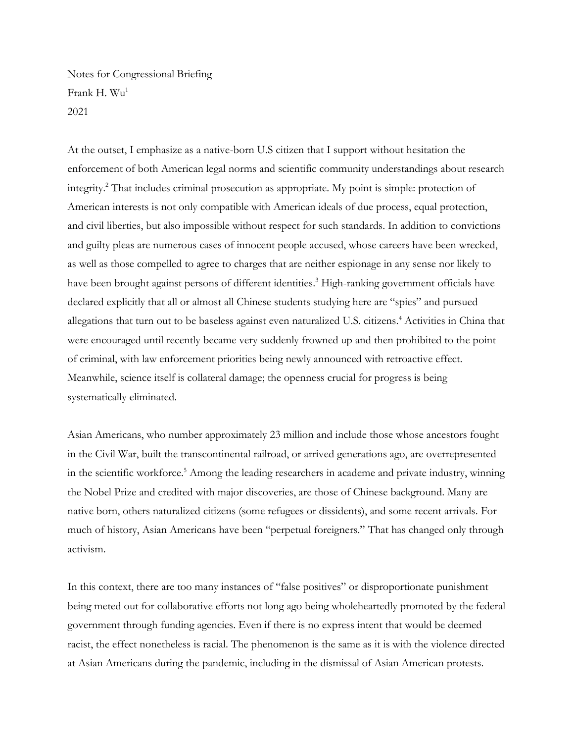Notes for Congressional Briefing Frank H. Wu<sup>1</sup> 2021

At the outset, I emphasize as a native-born U.S citizen that I support without hesitation the enforcement of both American legal norms and scientific community understandings about research integrity.<sup>2</sup> That includes criminal prosecution as appropriate. My point is simple: protection of American interests is not only compatible with American ideals of due process, equal protection, and civil liberties, but also impossible without respect for such standards. In addition to convictions and guilty pleas are numerous cases of innocent people accused, whose careers have been wrecked, as well as those compelled to agree to charges that are neither espionage in any sense nor likely to have been brought against persons of different identities.<sup>3</sup> High-ranking government officials have declared explicitly that all or almost all Chinese students studying here are "spies" and pursued allegations that turn out to be baseless against even naturalized U.S. citizens.<sup>4</sup> Activities in China that were encouraged until recently became very suddenly frowned up and then prohibited to the point of criminal, with law enforcement priorities being newly announced with retroactive effect. Meanwhile, science itself is collateral damage; the openness crucial for progress is being systematically eliminated.

Asian Americans, who number approximately 23 million and include those whose ancestors fought in the Civil War, built the transcontinental railroad, or arrived generations ago, are overrepresented in the scientific workforce.<sup>5</sup> Among the leading researchers in academe and private industry, winning the Nobel Prize and credited with major discoveries, are those of Chinese background. Many are native born, others naturalized citizens (some refugees or dissidents), and some recent arrivals. For much of history, Asian Americans have been "perpetual foreigners." That has changed only through activism.

In this context, there are too many instances of "false positives" or disproportionate punishment being meted out for collaborative efforts not long ago being wholeheartedly promoted by the federal government through funding agencies. Even if there is no express intent that would be deemed racist, the effect nonetheless is racial. The phenomenon is the same as it is with the violence directed at Asian Americans during the pandemic, including in the dismissal of Asian American protests.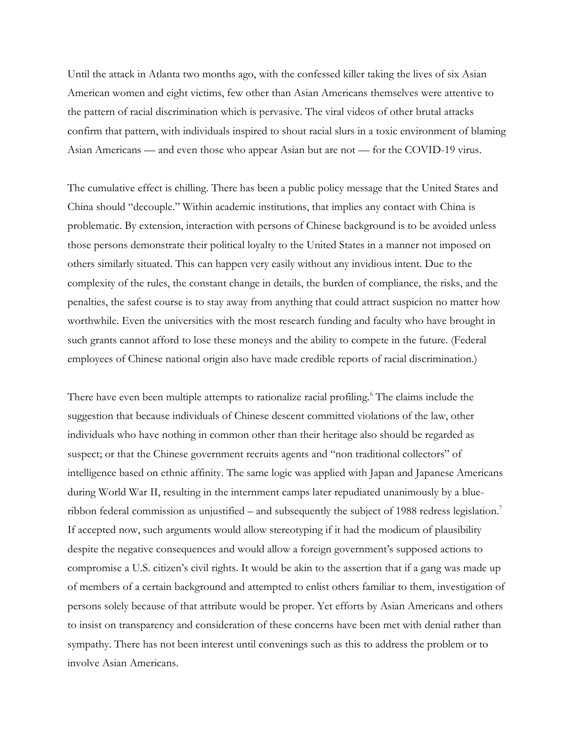Until the attack in Atlanta two months ago, with the confessed killer taking the lives of six Asian American women and eight victims, few other than Asian Americans themselves were attentive to the pattern of racial discrimination which is pervasive. The viral videos of other brutal attacks confirm that pattern, with individuals inspired to shout racial slurs in a toxic environment of blaming Asian Americans — and even those who appear Asian but are not — for the COVID-19 virus.

The cumulative effect is chilling. There has been a public policy message that the United States and China should "decouple." Within academic institutions, that implies any contact with China is problematic. By extension, interaction with persons of Chinese background is to be avoided unless those persons demonstrate their political loyalty to the United States in a manner not imposed on others similarly situated. This can happen very easily without any invidious intent. Due to the complexity of the rules, the constant change in details, the burden of compliance, the risks, and the penalties, the safest course is to stay away from anything that could attract suspicion no matter how worthwhile. Even the universities with the most research funding and faculty who have brought in such grants cannot afford to lose these moneys and the ability to compete in the future. (Federal employees of Chinese national origin also have made credible reports of racial discrimination.)

There have even been multiple attempts to rationalize racial profiling.<sup>6</sup> The claims include the suggestion that because individuals of Chinese descent committed violations of the law, other individuals who have nothing in common other than their heritage also should be regarded as suspect; or that the Chinese government recruits agents and "non traditional collectors" of intelligence based on ethnic affinity. The same logic was applied with Japan and Japanese Americans during World War II, resulting in the internment camps later repudiated unanimously by a blueribbon federal commission as unjustified – and subsequently the subject of 1988 redress legislation.<sup>7</sup> If accepted now, such arguments would allow stereotyping if it had the modicum of plausibility despite the negative consequences and would allow a foreign government's supposed actions to compromise a U.S. citizen's civil rights. It would be akin to the assertion that if a gang was made up of members of a certain background and attempted to enlist others familiar to them, investigation of persons solely because of that attribute would be proper. Yet efforts by Asian Americans and others to insist on transparency and consideration of these concerns have been met with denial rather than sympathy. There has not been interest until convenings such as this to address the problem or to involve Asian Americans.